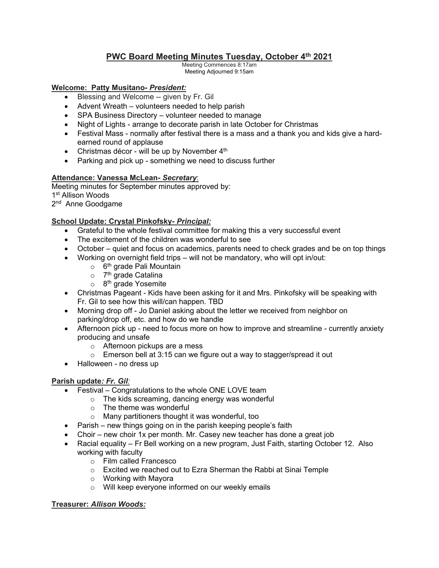# **PWC Board Meeting Minutes Tuesday, October 4th 2021**

Meeting Commences 8:17am Meeting Adjourned 9:15am

#### **Welcome: Patty Musitano-** *President:*

- Blessing and Welcome -- given by Fr. Gil
- Advent Wreath volunteers needed to help parish
- SPA Business Directory volunteer needed to manage
- Night of Lights arrange to decorate parish in late October for Christmas
- Festival Mass normally after festival there is a mass and a thank you and kids give a hardearned round of applause
- Christmas décor will be up by November  $4<sup>th</sup>$
- Parking and pick up something we need to discuss further

#### **Attendance: Vanessa McLean-** *Secretary*:

Meeting minutes for September minutes approved by: 1<sup>st</sup> Allison Woods 2<sup>nd</sup> Anne Goodgame

# **School Update: Crystal Pinkofsky***- Principal:*

- Grateful to the whole festival committee for making this a very successful event
- The excitement of the children was wonderful to see
- October quiet and focus on academics, parents need to check grades and be on top things
- Working on overnight field trips will not be mandatory, who will opt in/out:
	- $\circ$  6<sup>th</sup> grade Pali Mountain
	- $\circ$  7<sup>th</sup> grade Catalina
	- o 8<sup>th</sup> grade Yosemite
- Christmas Pageant Kids have been asking for it and Mrs. Pinkofsky will be speaking with Fr. Gil to see how this will/can happen. TBD
- Morning drop off Jo Daniel asking about the letter we received from neighbor on parking/drop off, etc. and how do we handle
- Afternoon pick up need to focus more on how to improve and streamline currently anxiety producing and unsafe
	- o Afternoon pickups are a mess
	- o Emerson bell at 3:15 can we figure out a way to stagger/spread it out
- Halloween no dress up

# **Parish update***: Fr. Gil:*

- Festival Congratulations to the whole ONE LOVE team
	- o The kids screaming, dancing energy was wonderful
		- $\circ$  The theme was wonderful
		- o Many partitioners thought it was wonderful, too
- Parish new things going on in the parish keeping people's faith
- Choir new choir 1x per month. Mr. Casey new teacher has done a great job
- Racial equality Fr Bell working on a new program, Just Faith, starting October 12. Also working with faculty
	- o Film called Francesco
	- o Excited we reached out to Ezra Sherman the Rabbi at Sinai Temple
	- o Working with Mayora
	- o Will keep everyone informed on our weekly emails

### **Treasurer:** *Allison Woods:*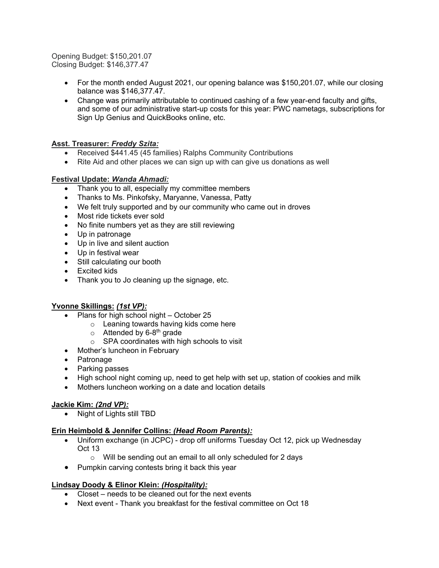Opening Budget: \$150,201.07 Closing Budget: \$146,377.47

- For the month ended August 2021, our opening balance was \$150,201.07, while our closing balance was \$146,377.47.
- Change was primarily attributable to continued cashing of a few year-end faculty and gifts, and some of our administrative start-up costs for this year: PWC nametags, subscriptions for Sign Up Genius and QuickBooks online, etc.

# **Asst. Treasurer:** *Freddy Szita:*

- Received \$441.45 (45 families) Ralphs Community Contributions
- Rite Aid and other places we can sign up with can give us donations as well

#### **Festival Update:** *Wanda Ahmadi:*

- Thank you to all, especially my committee members
- Thanks to Ms. Pinkofsky, Maryanne, Vanessa, Patty
- We felt truly supported and by our community who came out in droves
- Most ride tickets ever sold
- No finite numbers yet as they are still reviewing
- Up in patronage
- Up in live and silent auction
- Up in festival wear
- Still calculating our booth
- Excited kids
- Thank you to Jo cleaning up the signage, etc.

# **Yvonne Skillings:** *(1st VP):*

- Plans for high school night October 25
	- o Leaning towards having kids come here
	- $\circ$  Attended by 6-8<sup>th</sup> grade
	- o SPA coordinates with high schools to visit
- Mother's luncheon in February
- Patronage
- Parking passes
- High school night coming up, need to get help with set up, station of cookies and milk
- Mothers luncheon working on a date and location details

#### **Jackie Kim:** *(2nd VP):*

• Night of Lights still TBD

#### **Erin Heimbold & Jennifer Collins:** *(Head Room Parents):*

- Uniform exchange (in JCPC) drop off uniforms Tuesday Oct 12, pick up Wednesday Oct 13
	- o Will be sending out an email to all only scheduled for 2 days
- Pumpkin carving contests bring it back this year

# **Lindsay Doody & Elinor Klein:** *(Hospitality):*

- Closet needs to be cleaned out for the next events
- Next event Thank you breakfast for the festival committee on Oct 18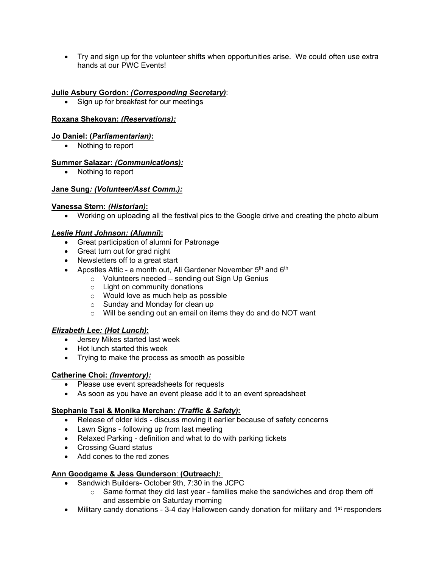• Try and sign up for the volunteer shifts when opportunities arise. We could often use extra hands at our PWC Events!

#### **Julie Asbury Gordon:** *(Corresponding Secretary)*:

• Sign up for breakfast for our meetings

#### **Roxana Shekoyan:** *(Reservations):*

#### **Jo Daniel: (***Parliamentarian)***:**

• Nothing to report

#### **Summer Salazar:** *(Communications):*

• Nothing to report

#### **Jane Sung***: (Volunteer/Asst Comm.):*

#### **Vanessa Stern:** *(Historian)***:**

• Working on uploading all the festival pics to the Google drive and creating the photo album

#### *Leslie Hunt Johnson: (Alumni)***:**

- Great participation of alumni for Patronage
- Great turn out for grad night
- Newsletters off to a great start
- Apostles Attic a month out, Ali Gardener November  $5<sup>th</sup>$  and  $6<sup>th</sup>$ 
	- o Volunteers needed sending out Sign Up Genius
	- o Light on community donations
	- o Would love as much help as possible
	- o Sunday and Monday for clean up
	- o Will be sending out an email on items they do and do NOT want

#### *Elizabeth Lee: (Hot Lunch)***:**

- Jersey Mikes started last week
- Hot lunch started this week
- Trying to make the process as smooth as possible

# **Catherine Choi:** *(Inventory):*

- Please use event spreadsheets for requests
- As soon as you have an event please add it to an event spreadsheet

# **Stephanie Tsai & Monika Merchan:** *(Traffic & Safety)***:**

- Release of older kids discuss moving it earlier because of safety concerns
- Lawn Signs following up from last meeting
- Relaxed Parking definition and what to do with parking tickets
- Crossing Guard status
- Add cones to the red zones

# **Ann Goodgame & Jess Gunderson**: **(Outreach***)***:**

- Sandwich Builders- October 9th, 7:30 in the JCPC
	- $\circ$  Same format they did last year families make the sandwiches and drop them off and assemble on Saturday morning
- Military candy donations 3-4 day Halloween candy donation for military and 1<sup>st</sup> responders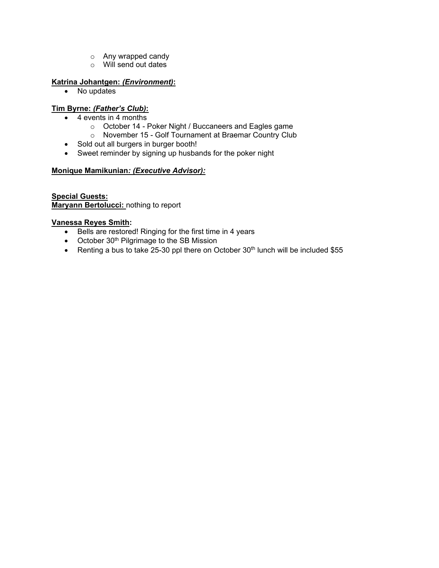- o Any wrapped candy
- o Will send out dates

# **Katrina Johantgen:** *(Environment)***:**

• No updates

# **Tim Byrne:** *(Father's Club)***:**

- 4 events in 4 months
	- o October 14 Poker Night / Buccaneers and Eagles game
	- o November 15 Golf Tournament at Braemar Country Club
- Sold out all burgers in burger booth!
- Sweet reminder by signing up husbands for the poker night

#### **Monique Mamikunian***: (Executive Advisor):*

#### **Special Guests: Maryann Bertolucci:** nothing to report

#### **Vanessa Reyes Smith:**

- Bells are restored! Ringing for the first time in 4 years
- October 30<sup>th</sup> Pilgrimage to the SB Mission
- Renting a bus to take 25-30 ppl there on October  $30<sup>th</sup>$  lunch will be included \$55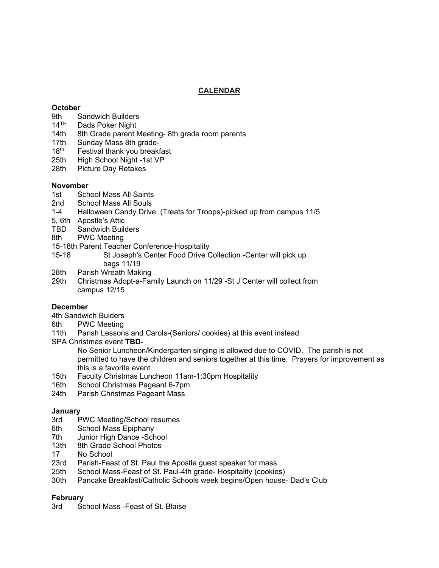### **CALENDAR**

#### **October**

- 9th Sandwich Builders
- 14<sup>TH</sup> Dads Poker Night<br>14th 8th Grade parent I
- 8th Grade parent Meeting- 8th grade room parents
- 17th Sunday Mass 8th grade-<br>18<sup>th</sup> Festival thank you breakt
- Festival thank you breakfast
- 25th High School Night -1st VP
- 28th Picture Day Retakes

#### **November**

- 1st School Mass All Saints
- 2nd School Mass All Souls
- 1-4 Halloween Candy Drive (Treats for Troops)-picked up from campus 11/5
- 5, 6th Apostle's Attic
- TBD Sandwich Builders
- 8th PWC Meeting
- 15-18th Parent Teacher Conference-Hospitality
- 15-18 St Joseph's Center Food Drive Collection -Center will pick up bags 11/19
- 28th Parish Wreath Making
- 29th Christmas Adopt-a-Family Launch on 11/29 -St J Center will collect from campus 12/15

# **December**

- 4th Sandwich Buiders
- 6th PWC Meeting
- 11th Parish Lessons and Carols-(Seniors/ cookies) at this event instead
- SPA Christmas event **TBD**-

No Senior Luncheon/Kindergarten singing is allowed due to COVID. The parish is not permitted to have the children and seniors together at this time. Prayers for improvement as this is a favorite event.

- 15th Faculty Christmas Luncheon 11am-1:30pm Hospitality
- 16th School Christmas Pageant 6-7pm
- 24th Parish Christmas Pageant Mass

# **January**

- PWC Meeting/School resumes
- 6th School Mass Epiphany
- 7th Junior High Dance -School<br>13th 8th Grade School Photos
- 8th Grade School Photos
- 17 No School
- 23rd Parish-Feast of St. Paul the Apostle guest speaker for mass
- 25th School Mass-Feast of St. Paul-4th grade- Hospitality (cookies)
- 30th Pancake Breakfast/Catholic Schools week begins/Open house- Dad's Club

#### **February**

3rd School Mass -Feast of St. Blaise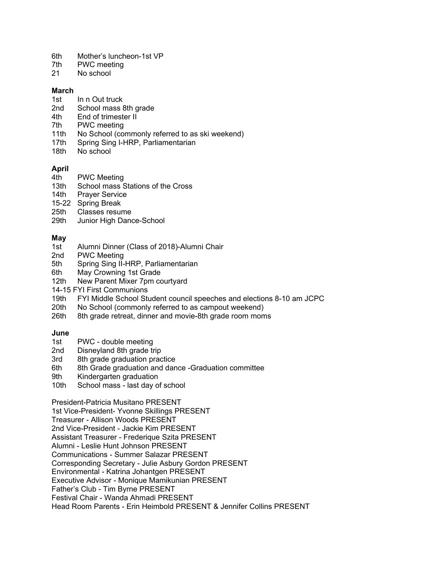- 6th Mother's luncheon-1st VP
- 7th PWC meeting<br>21 No school
- No school

#### **March**

- 1st In n Out truck
- 2nd School mass 8th grade
- 4th End of trimester II
- 7th PWC meeting
- 11th No School (commonly referred to as ski weekend)
- 17th Spring Sing I-HRP, Parliamentarian<br>18th No school
- No school

- **April**
- 4th PWC Meeting<br>13th School mass S School mass Stations of the Cross
- 14th Prayer Service
- 15-22 Spring Break
- 25th Classes resume<br>29th Junior High Dang
- Junior High Dance-School

#### **May**

- 1st Alumni Dinner (Class of 2018)-Alumni Chair
- 2nd PWC Meeting
- 5th Spring Sing II-HRP, Parliamentarian
- 6th May Crowning 1st Grade<br>12th New Parent Mixer 7pm co
- New Parent Mixer 7pm courtyard
- 14-15 FYI First Communions
- 19th FYI Middle School Student council speeches and elections 8-10 am JCPC<br>20th No School (commonly referred to as campout weekend)
- 20th No School (commonly referred to as campout weekend)<br>26th 8th grade retreat, dinner and movie-8th grade room mom
- 8th grade retreat, dinner and movie-8th grade room moms

#### **June**

- 1st PWC double meeting
- 2nd Disneyland 8th grade trip
- 3rd 8th grade graduation practice
- 6th 8th Grade graduation and dance -Graduation committee
- 9th Kindergarten graduation
- 10th School mass last day of school

President-Patricia Musitano PRESENT

1st Vice-President- Yvonne Skillings PRESENT

Treasurer - Allison Woods PRESENT

2nd Vice-President - Jackie Kim PRESENT

Assistant Treasurer - Frederique Szita PRESENT

Alumni - Leslie Hunt Johnson PRESENT

Communications - Summer Salazar PRESENT

Corresponding Secretary - Julie Asbury Gordon PRESENT

Environmental - Katrina Johantgen PRESENT

Executive Advisor - Monique Mamikunian PRESENT

Father's Club - Tim Byrne PRESENT

Festival Chair - Wanda Ahmadi PRESENT

Head Room Parents - Erin Heimbold PRESENT & Jennifer Collins PRESENT